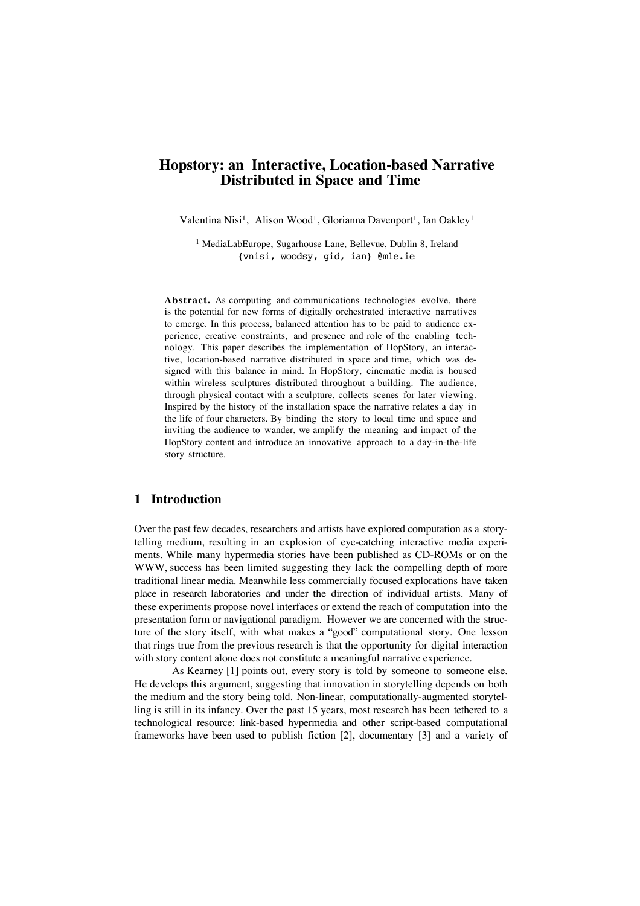# **Hopstory: an Interactive, Location-based Narrative Distributed in Space and Time**

Valentina Nisi<sup>1</sup>, Alison Wood<sup>1</sup>, Glorianna Davenport<sup>1</sup>, Ian Oakley<sup>1</sup>

1 MediaLabEurope, Sugarhouse Lane, Bellevue, Dublin 8, Ireland {vnisi, woodsy, gid, ian} @mle.ie

Abstract. As computing and communications technologies evolve, there is the potential for new forms of digitally orchestrated interactive narratives to emerge. In this process, balanced attention has to be paid to audience experience, creative constraints, and presence and role of the enabling technology. This paper describes the implementation of HopStory, an interactive, location-based narrative distributed in space and time, which was designed with this balance in mind. In HopStory, cinematic media is housed within wireless sculptures distributed throughout a building. The audience, through physical contact with a sculpture, collects scenes for later viewing. Inspired by the history of the installation space the narrative relates a day in the life of four characters. By binding the story to local time and space and inviting the audience to wander, we amplify the meaning and impact of the HopStory content and introduce an innovative approach to a day-in-the-life story structure.

## **1 Introduction**

Over the past few decades, researchers and artists have explored computation as a storytelling medium, resulting in an explosion of eye-catching interactive media experiments. While many hypermedia stories have been published as CD-ROMs or on the WWW, success has been limited suggesting they lack the compelling depth of more traditional linear media. Meanwhile less commercially focused explorations have taken place in research laboratories and under the direction of individual artists. Many of these experiments propose novel interfaces or extend the reach of computation into the presentation form or navigational paradigm. However we are concerned with the structure of the story itself, with what makes a "good" computational story. One lesson that rings true from the previous research is that the opportunity for digital interaction with story content alone does not constitute a meaningful narrative experience.

As Kearney [1] points out, every story is told by someone to someone else. He develops this argument, suggesting that innovation in storytelling depends on both the medium and the story being told. Non-linear, computationally-augmented storytelling is still in its infancy. Over the past 15 years, most research has been tethered to a technological resource: link-based hypermedia and other script-based computational frameworks have been used to publish fiction [2], documentary [3] and a variety of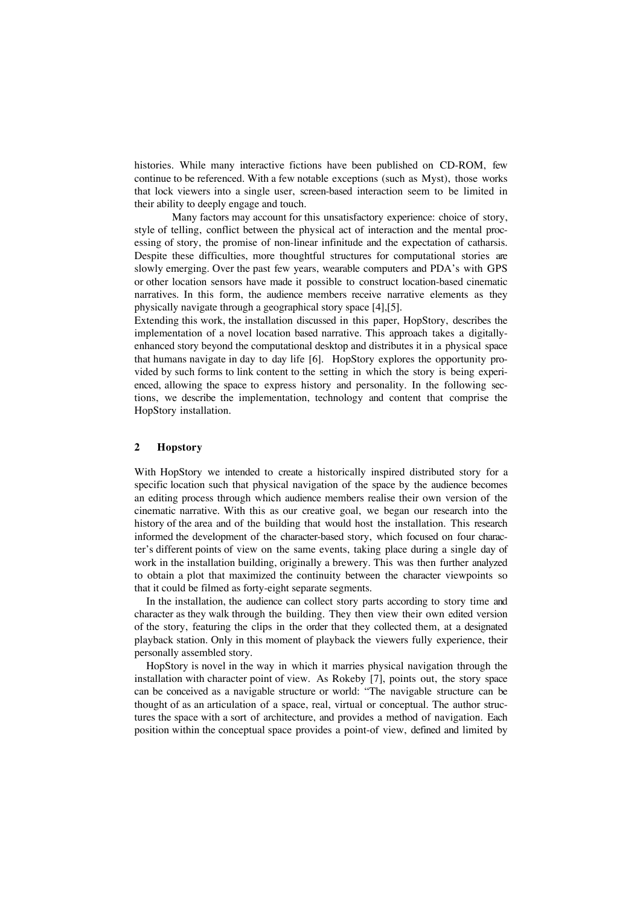histories. While many interactive fictions have been published on CD-ROM, few continue to be referenced. With a few notable exceptions (such as Myst), those works that lock viewers into a single user, screen-based interaction seem to be limited in their ability to deeply engage and touch.

Many factors may account for this unsatisfactory experience: choice of story, style of telling, conflict between the physical act of interaction and the mental processing of story, the promise of non-linear infinitude and the expectation of catharsis. Despite these difficulties, more thoughtful structures for computational stories are slowly emerging. Over the past few years, wearable computers and PDA's with GPS or other location sensors have made it possible to construct location-based cinematic narratives. In this form, the audience members receive narrative elements as they physically navigate through a geographical story space [4],[5].

Extending this work, the installation discussed in this paper, HopStory, describes the implementation of a novel location based narrative. This approach takes a digitallyenhanced story beyond the computational desktop and distributes it in a physical space that humans navigate in day to day life [6]. HopStory explores the opportunity provided by such forms to link content to the setting in which the story is being experienced, allowing the space to express history and personality. In the following sections, we describe the implementation, technology and content that comprise the HopStory installation.

#### **2 Hopstory**

With HopStory we intended to create a historically inspired distributed story for a specific location such that physical navigation of the space by the audience becomes an editing process through which audience members realise their own version of the cinematic narrative. With this as our creative goal, we began our research into the history of the area and of the building that would host the installation. This research informed the development of the character-based story, which focused on four character's different points of view on the same events, taking place during a single day of work in the installation building, originally a brewery. This was then further analyzed to obtain a plot that maximized the continuity between the character viewpoints so that it could be filmed as forty-eight separate segments.

In the installation, the audience can collect story parts according to story time and character as they walk through the building. They then view their own edited version of the story, featuring the clips in the order that they collected them, at a designated playback station. Only in this moment of playback the viewers fully experience, their personally assembled story.

HopStory is novel in the way in which it marries physical navigation through the installation with character point of view. As Rokeby [7], points out, the story space can be conceived as a navigable structure or world: "The navigable structure can be thought of as an articulation of a space, real, virtual or conceptual. The author structures the space with a sort of architecture, and provides a method of navigation. Each position within the conceptual space provides a point-of view, defined and limited by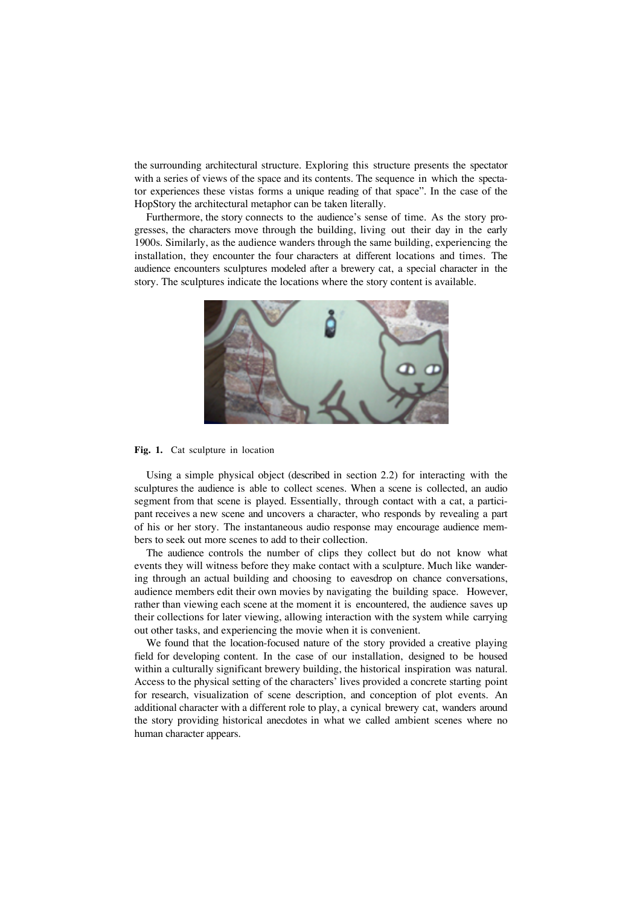the surrounding architectural structure. Exploring this structure presents the spectator with a series of views of the space and its contents. The sequence in which the spectator experiences these vistas forms a unique reading of that space". In the case of the HopStory the architectural metaphor can be taken literally.

Furthermore, the story connects to the audience's sense of time. As the story progresses, the characters move through the building, living out their day in the early 1900s. Similarly, as the audience wanders through the same building, experiencing the installation, they encounter the four characters at different locations and times. The audience encounters sculptures modeled after a brewery cat, a special character in the story. The sculptures indicate the locations where the story content is available.



#### **Fig. 1.** Cat sculpture in location

Using a simple physical object (described in section 2.2) for interacting with the sculptures the audience is able to collect scenes. When a scene is collected, an audio segment from that scene is played. Essentially, through contact with a cat, a participant receives a new scene and uncovers a character, who responds by revealing a part of his or her story. The instantaneous audio response may encourage audience members to seek out more scenes to add to their collection.

The audience controls the number of clips they collect but do not know what events they will witness before they make contact with a sculpture. Much like wandering through an actual building and choosing to eavesdrop on chance conversations, audience members edit their own movies by navigating the building space. However, rather than viewing each scene at the moment it is encountered, the audience saves up their collections for later viewing, allowing interaction with the system while carrying out other tasks, and experiencing the movie when it is convenient.

We found that the location-focused nature of the story provided a creative playing field for developing content. In the case of our installation, designed to be housed within a culturally significant brewery building, the historical inspiration was natural. Access to the physical setting of the characters' lives provided a concrete starting point for research, visualization of scene description, and conception of plot events. An additional character with a different role to play, a cynical brewery cat, wanders around the story providing historical anecdotes in what we called ambient scenes where no human character appears.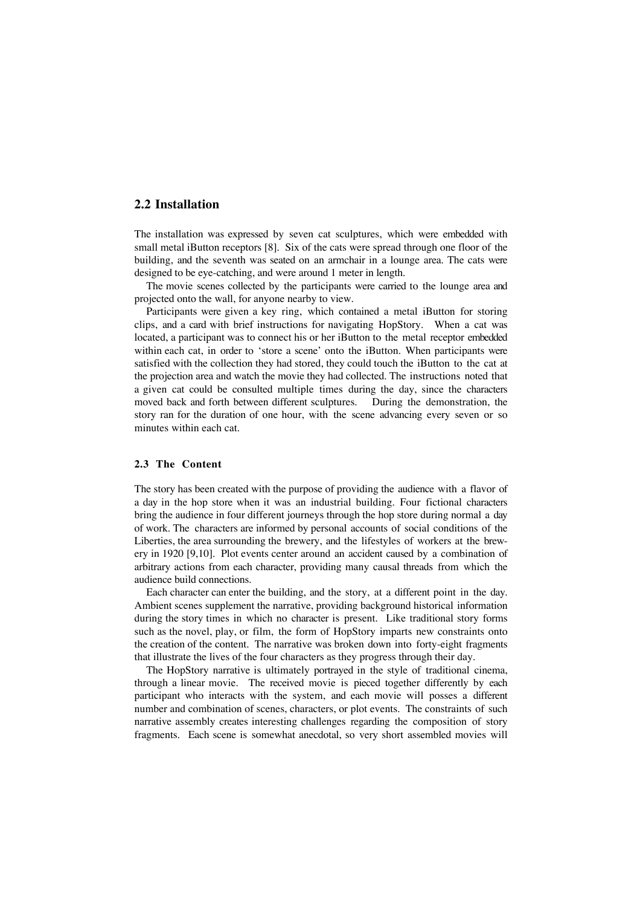## **2.2 Installation**

The installation was expressed by seven cat sculptures, which were embedded with small metal iButton receptors [8]. Six of the cats were spread through one floor of the building, and the seventh was seated on an armchair in a lounge area. The cats were designed to be eye-catching, and were around 1 meter in length.

The movie scenes collected by the participants were carried to the lounge area and projected onto the wall, for anyone nearby to view.

Participants were given a key ring, which contained a metal iButton for storing clips, and a card with brief instructions for navigating HopStory. When a cat was located, a participant was to connect his or her iButton to the metal receptor embedded within each cat, in order to 'store a scene' onto the iButton. When participants were satisfied with the collection they had stored, they could touch the iButton to the cat at the projection area and watch the movie they had collected. The instructions noted that a given cat could be consulted multiple times during the day, since the characters moved back and forth between different sculptures. During the demonstration, the story ran for the duration of one hour, with the scene advancing every seven or so minutes within each cat.

### **2.3 The Content**

The story has been created with the purpose of providing the audience with a flavor of a day in the hop store when it was an industrial building. Four fictional characters bring the audience in four different journeys through the hop store during normal a day of work. The characters are informed by personal accounts of social conditions of the Liberties, the area surrounding the brewery, and the lifestyles of workers at the brewery in 1920 [9,10]. Plot events center around an accident caused by a combination of arbitrary actions from each character, providing many causal threads from which the audience build connections.

Each character can enter the building, and the story, at a different point in the day. Ambient scenes supplement the narrative, providing background historical information during the story times in which no character is present. Like traditional story forms such as the novel, play, or film, the form of HopStory imparts new constraints onto the creation of the content. The narrative was broken down into forty-eight fragments that illustrate the lives of the four characters as they progress through their day.

The HopStory narrative is ultimately portrayed in the style of traditional cinema, through a linear movie. The received movie is pieced together differently by each participant who interacts with the system, and each movie will posses a different number and combination of scenes, characters, or plot events. The constraints of such narrative assembly creates interesting challenges regarding the composition of story fragments. Each scene is somewhat anecdotal, so very short assembled movies will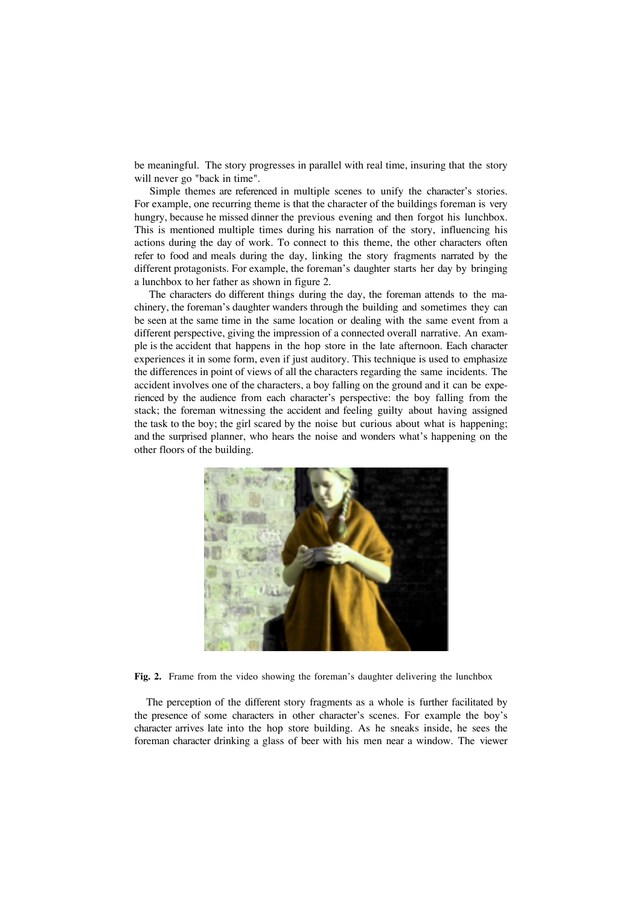be meaningful. The story progresses in parallel with real time, insuring that the story will never go "back in time".

Simple themes are referenced in multiple scenes to unify the character's stories. For example, one recurring theme is that the character of the buildings foreman is very hungry, because he missed dinner the previous evening and then forgot his lunchbox. This is mentioned multiple times during his narration of the story, influencing his actions during the day of work. To connect to this theme, the other characters often refer to food and meals during the day, linking the story fragments narrated by the different protagonists. For example, the foreman's daughter starts her day by bringing a lunchbox to her father as shown in figure 2.

The characters do different things during the day, the foreman attends to the machinery, the foreman's daughter wanders through the building and sometimes they can be seen at the same time in the same location or dealing with the same event from a different perspective, giving the impression of a connected overall narrative. An example is the accident that happens in the hop store in the late afternoon. Each character experiences it in some form, even if just auditory. This technique is used to emphasize the differences in point of views of all the characters regarding the same incidents. The accident involves one of the characters, a boy falling on the ground and it can be experienced by the audience from each character's perspective: the boy falling from the stack; the foreman witnessing the accident and feeling guilty about having assigned the task to the boy; the girl scared by the noise but curious about what is happening; and the surprised planner, who hears the noise and wonders what's happening on the other floors of the building.



**Fig. 2.** Frame from the video showing the foreman's daughter delivering the lunchbox

The perception of the different story fragments as a whole is further facilitated by the presence of some characters in other character's scenes. For example the boy's character arrives late into the hop store building. As he sneaks inside, he sees the foreman character drinking a glass of beer with his men near a window. The viewer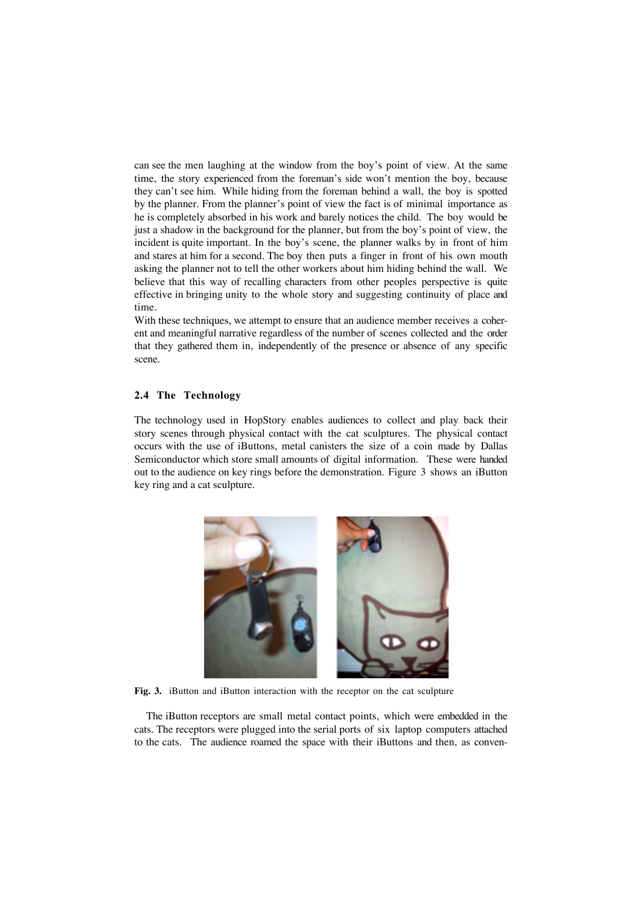can see the men laughing at the window from the boy's point of view. At the same time, the story experienced from the foreman's side won't mention the boy, because they can't see him. While hiding from the foreman behind a wall, the boy is spotted by the planner. From the planner's point of view the fact is of minimal importance as he is completely absorbed in his work and barely notices the child. The boy would be just a shadow in the background for the planner, but from the boy's point of view, the incident is quite important. In the boy's scene, the planner walks by in front of him and stares at him for a second. The boy then puts a finger in front of his own mouth asking the planner not to tell the other workers about him hiding behind the wall. We believe that this way of recalling characters from other peoples perspective is quite effective in bringing unity to the whole story and suggesting continuity of place and time.

With these techniques, we attempt to ensure that an audience member receives a coherent and meaningful narrative regardless of the number of scenes collected and the order that they gathered them in, independently of the presence or absence of any specific scene.

#### **2.4 The Technology**

The technology used in HopStory enables audiences to collect and play back their story scenes through physical contact with the cat sculptures. The physical contact occurs with the use of iButtons, metal canisters the size of a coin made by Dallas Semiconductor which store small amounts of digital information. These were handed out to the audience on key rings before the demonstration. Figure 3 shows an iButton key ring and a cat sculpture.



**Fig. 3.** iButton and iButton interaction with the receptor on the cat sculpture

The iButton receptors are small metal contact points, which were embedded in the cats. The receptors were plugged into the serial ports of six laptop computers attached to the cats. The audience roamed the space with their iButtons and then, as conven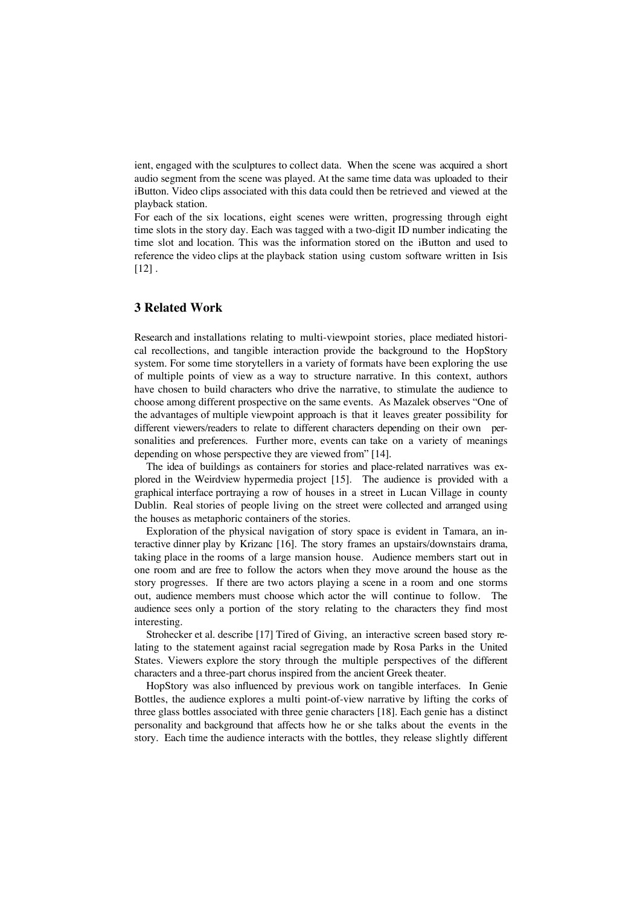ient, engaged with the sculptures to collect data. When the scene was acquired a short audio segment from the scene was played. At the same time data was uploaded to their iButton. Video clips associated with this data could then be retrieved and viewed at the playback station.

For each of the six locations, eight scenes were written, progressing through eight time slots in the story day. Each was tagged with a two-digit ID number indicating the time slot and location. This was the information stored on the iButton and used to reference the video clips at the playback station using custom software written in Isis  $[12]$ .

## **3 Related Work**

Research and installations relating to multi-viewpoint stories, place mediated historical recollections, and tangible interaction provide the background to the HopStory system. For some time storytellers in a variety of formats have been exploring the use of multiple points of view as a way to structure narrative. In this context, authors have chosen to build characters who drive the narrative, to stimulate the audience to choose among different prospective on the same events. As Mazalek observes "One of the advantages of multiple viewpoint approach is that it leaves greater possibility for different viewers/readers to relate to different characters depending on their own personalities and preferences. Further more, events can take on a variety of meanings depending on whose perspective they are viewed from" [14].

The idea of buildings as containers for stories and place-related narratives was explored in the Weirdview hypermedia project [15]. The audience is provided with a graphical interface portraying a row of houses in a street in Lucan Village in county Dublin. Real stories of people living on the street were collected and arranged using the houses as metaphoric containers of the stories.

Exploration of the physical navigation of story space is evident in Tamara, an interactive dinner play by Krizanc [16]. The story frames an upstairs/downstairs drama, taking place in the rooms of a large mansion house. Audience members start out in one room and are free to follow the actors when they move around the house as the story progresses. If there are two actors playing a scene in a room and one storms out, audience members must choose which actor the will continue to follow. The audience sees only a portion of the story relating to the characters they find most interesting.

Strohecker et al. describe [17] Tired of Giving, an interactive screen based story relating to the statement against racial segregation made by Rosa Parks in the United States. Viewers explore the story through the multiple perspectives of the different characters and a three-part chorus inspired from the ancient Greek theater.

HopStory was also influenced by previous work on tangible interfaces. In Genie Bottles, the audience explores a multi point-of-view narrative by lifting the corks of three glass bottles associated with three genie characters [18]. Each genie has a distinct personality and background that affects how he or she talks about the events in the story. Each time the audience interacts with the bottles, they release slightly different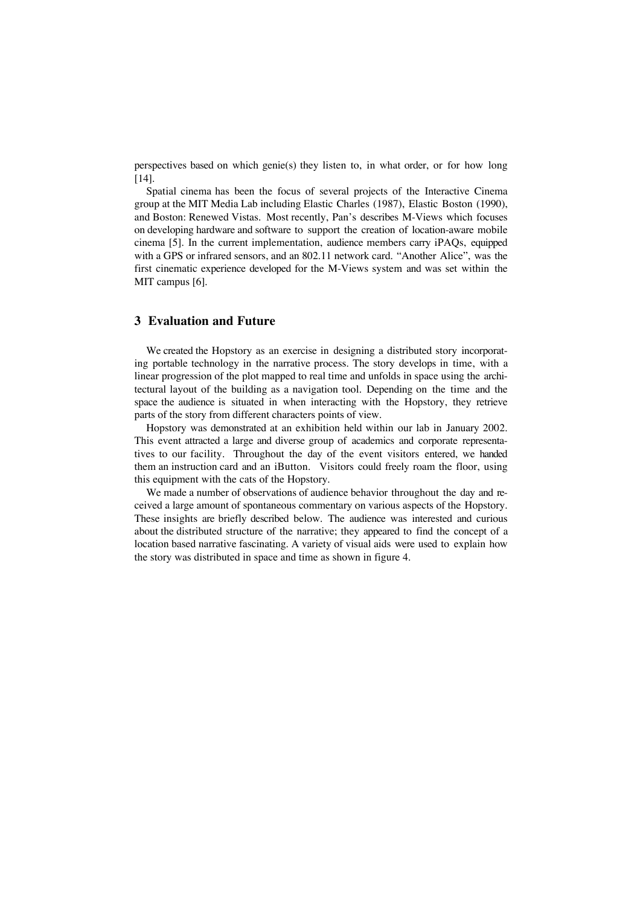perspectives based on which genie(s) they listen to, in what order, or for how long [14].

Spatial cinema has been the focus of several projects of the Interactive Cinema group at the MIT Media Lab including Elastic Charles (1987), Elastic Boston (1990), and Boston: Renewed Vistas. Most recently, Pan's describes M-Views which focuses on developing hardware and software to support the creation of location-aware mobile cinema [5]. In the current implementation, audience members carry iPAQs, equipped with a GPS or infrared sensors, and an 802.11 network card. "Another Alice", was the first cinematic experience developed for the M-Views system and was set within the MIT campus [6].

## **3 Evaluation and Future**

We created the Hopstory as an exercise in designing a distributed story incorporating portable technology in the narrative process. The story develops in time, with a linear progression of the plot mapped to real time and unfolds in space using the architectural layout of the building as a navigation tool. Depending on the time and the space the audience is situated in when interacting with the Hopstory, they retrieve parts of the story from different characters points of view.

Hopstory was demonstrated at an exhibition held within our lab in January 2002. This event attracted a large and diverse group of academics and corporate representatives to our facility. Throughout the day of the event visitors entered, we handed them an instruction card and an iButton. Visitors could freely roam the floor, using this equipment with the cats of the Hopstory.

We made a number of observations of audience behavior throughout the day and received a large amount of spontaneous commentary on various aspects of the Hopstory. These insights are briefly described below. The audience was interested and curious about the distributed structure of the narrative; they appeared to find the concept of a location based narrative fascinating. A variety of visual aids were used to explain how the story was distributed in space and time as shown in figure 4.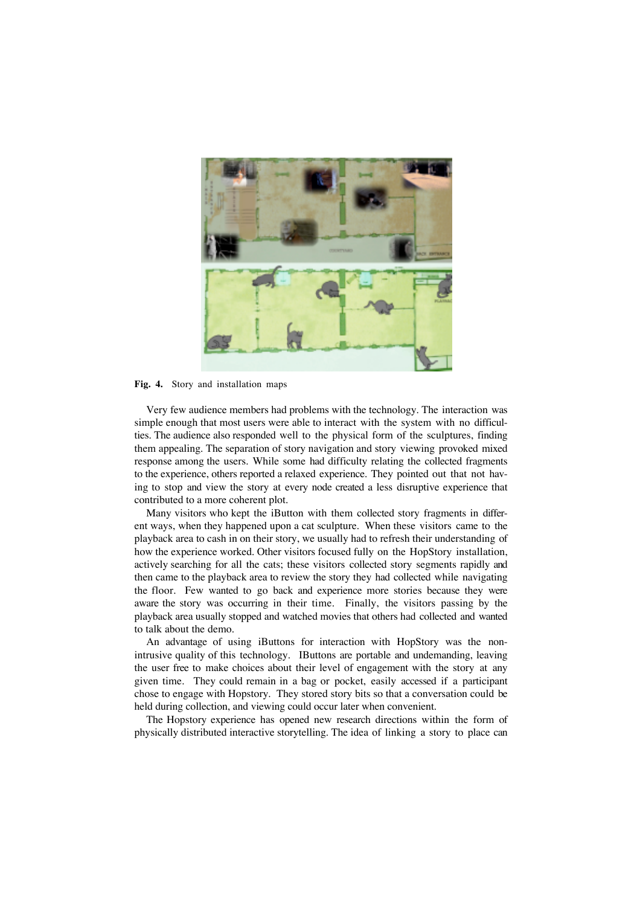

**Fig. 4.** Story and installation maps

Very few audience members had problems with the technology. The interaction was simple enough that most users were able to interact with the system with no difficulties. The audience also responded well to the physical form of the sculptures, finding them appealing. The separation of story navigation and story viewing provoked mixed response among the users. While some had difficulty relating the collected fragments to the experience, others reported a relaxed experience. They pointed out that not having to stop and view the story at every node created a less disruptive experience that contributed to a more coherent plot.

Many visitors who kept the iButton with them collected story fragments in different ways, when they happened upon a cat sculpture. When these visitors came to the playback area to cash in on their story, we usually had to refresh their understanding of how the experience worked. Other visitors focused fully on the HopStory installation, actively searching for all the cats; these visitors collected story segments rapidly and then came to the playback area to review the story they had collected while navigating the floor. Few wanted to go back and experience more stories because they were aware the story was occurring in their time. Finally, the visitors passing by the playback area usually stopped and watched movies that others had collected and wanted to talk about the demo.

An advantage of using iButtons for interaction with HopStory was the nonintrusive quality of this technology. IButtons are portable and undemanding, leaving the user free to make choices about their level of engagement with the story at any given time. They could remain in a bag or pocket, easily accessed if a participant chose to engage with Hopstory. They stored story bits so that a conversation could be held during collection, and viewing could occur later when convenient.

The Hopstory experience has opened new research directions within the form of physically distributed interactive storytelling. The idea of linking a story to place can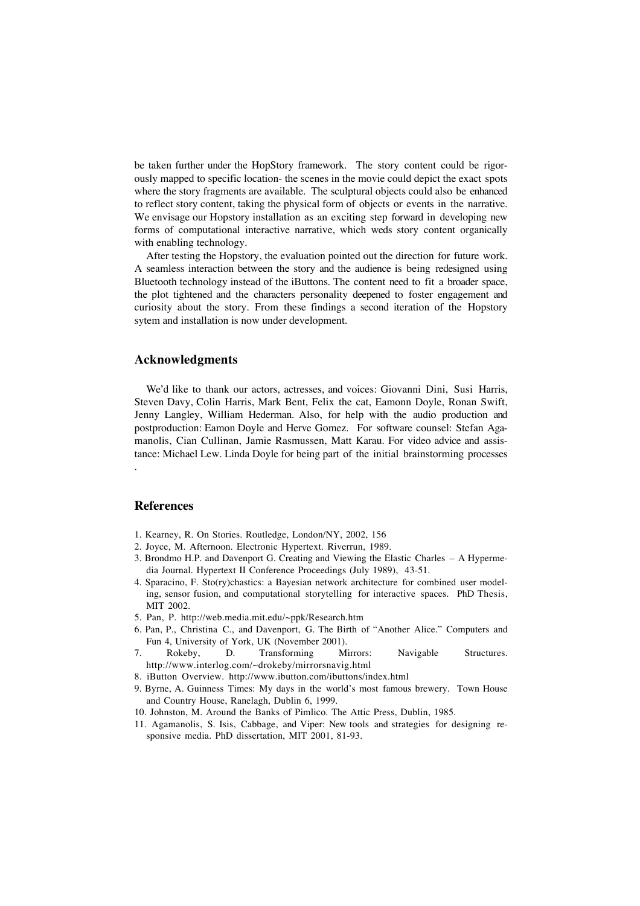be taken further under the HopStory framework. The story content could be rigorously mapped to specific location- the scenes in the movie could depict the exact spots where the story fragments are available. The sculptural objects could also be enhanced to reflect story content, taking the physical form of objects or events in the narrative. We envisage our Hopstory installation as an exciting step forward in developing new forms of computational interactive narrative, which weds story content organically with enabling technology.

After testing the Hopstory, the evaluation pointed out the direction for future work. A seamless interaction between the story and the audience is being redesigned using Bluetooth technology instead of the iButtons. The content need to fit a broader space, the plot tightened and the characters personality deepened to foster engagement and curiosity about the story. From these findings a second iteration of the Hopstory sytem and installation is now under development.

#### **Acknowledgments**

We'd like to thank our actors, actresses, and voices: Giovanni Dini, Susi Harris, Steven Davy, Colin Harris, Mark Bent, Felix the cat, Eamonn Doyle, Ronan Swift, Jenny Langley, William Hederman. Also, for help with the audio production and postproduction: Eamon Doyle and Herve Gomez. For software counsel: Stefan Agamanolis, Cian Cullinan, Jamie Rasmussen, Matt Karau. For video advice and assistance: Michael Lew. Linda Doyle for being part of the initial brainstorming processes .

#### **References**

- 1. Kearney, R. On Stories. Routledge, London/NY, 2002, 156
- 2. Joyce, M. Afternoon. Electronic Hypertext. Riverrun, 1989.
- 3. Brondmo H.P. and Davenport G. Creating and Viewing the Elastic Charles A Hypermedia Journal. Hypertext II Conference Proceedings (July 1989), 43-51.
- 4. Sparacino, F. Sto(ry)chastics: a Bayesian network architecture for combined user modeling, sensor fusion, and computational storytelling for interactive spaces. PhD Thesis, MIT 2002.
- 5. Pan, P. http://web.media.mit.edu/~ppk/Research.htm
- 6. Pan, P., Christina C., and Davenport, G. The Birth of "Another Alice." Computers and Fun 4, University of York, UK (November 2001).
- 7. Rokeby, D. Transforming Mirrors: Navigable Structures. http://www.interlog.com/~drokeby/mirrorsnavig.html
- 8. iButton Overview. http://www.ibutton.com/ibuttons/index.html
- 9. Byrne, A. Guinness Times: My days in the world's most famous brewery. Town House and Country House, Ranelagh, Dublin 6, 1999.
- 10. Johnston, M. Around the Banks of Pimlico. The Attic Press, Dublin, 1985.
- 11. Agamanolis, S. Isis, Cabbage, and Viper: New tools and strategies for designing responsive media. PhD dissertation, MIT 2001, 81-93.